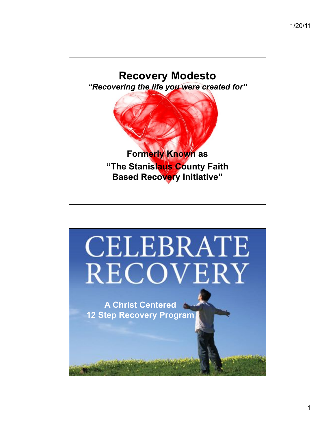

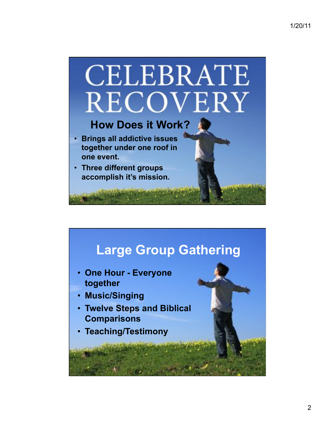

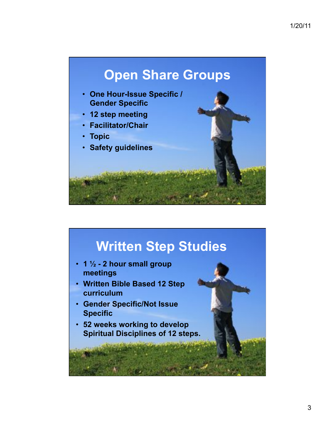

## **Written Step Studies**

- **1 ! 2 hour small group meetings**
- **Written Bible Based 12 Step curriculum**
- **Gender Specific/Not Issue Specific**
- **52 weeks working to develop Spiritual Disciplines of 12 steps.**

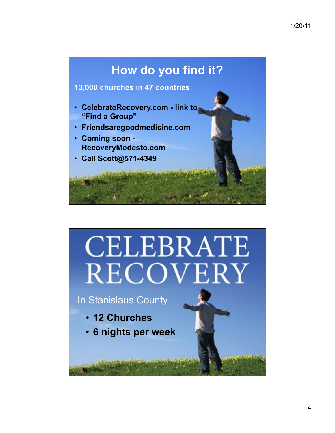## **How do you find it?**

## **13,000 churches in 47 countries**

- **CelebrateRecovery.com link to "Find a Group"**
- **Friendsaregoodmedicine.com**
- **Coming soon RecoveryModesto.com**
- **Call Scott@571-4349**

## **CELEBRATE** RECOVERY

In Stanislaus County

- **12 Churches**
- **6 nights per week**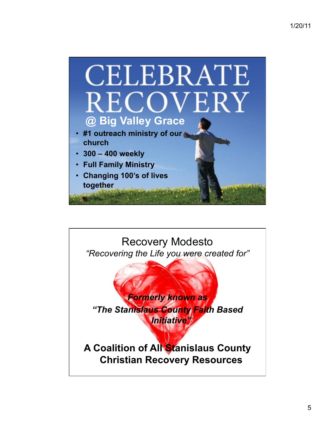